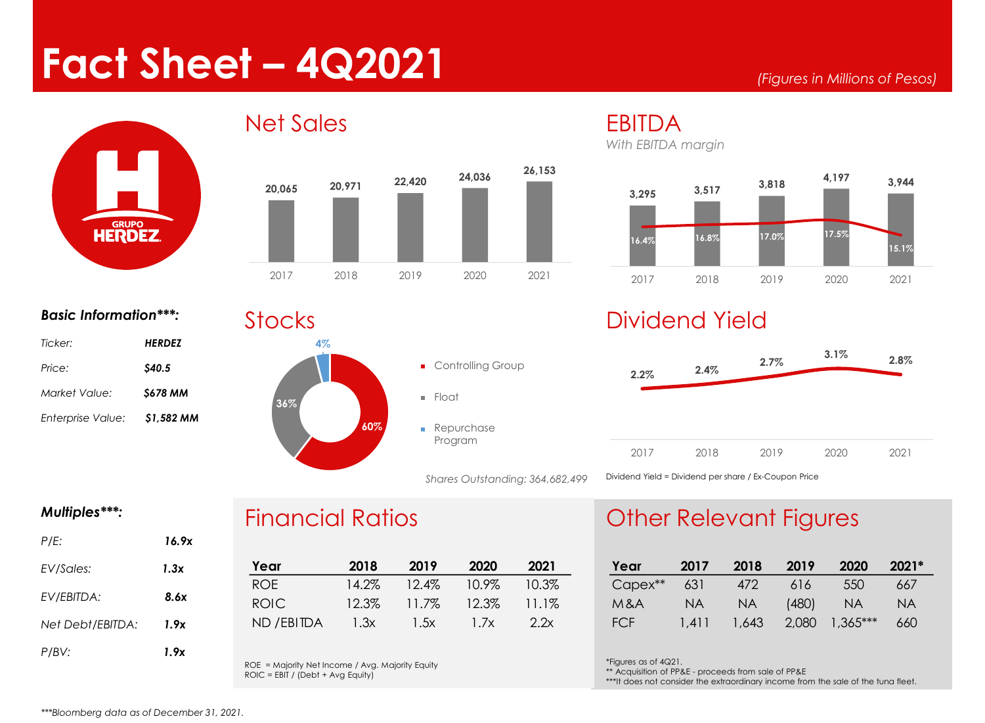# **Fact Sheet – 4Q2021**





#### *Basic Information\*\*\*:*

| <b>HERDEZ</b>  |
|----------------|
| <b>S40.5</b>   |
| <b>S678 MM</b> |
| \$1,582 MM     |
|                |

#### **Stocks**



## *With EBITDA margin*



### Dividend Yield



#### *Multiples\*\*\*:*

| P/E:             | 16.9x |
|------------------|-------|
| EV/Sales:        | 1.3x  |
| EV/EBITDA:       | 8.6x  |
| Net Debt/EBITDA: | 1.9x  |
| P/BV:            | 1.9x  |

### Financial Ratios

| Year        | 2018  | 2019     | 2020     | 2021     |
|-------------|-------|----------|----------|----------|
| ROF.        | 14.2% | $12.4\%$ | $10.9\%$ | $10.3\%$ |
| ROIC.       | 12.3% | 11.7%    | 12.3%    | $11.1\%$ |
| ND / EBITDA | 1.3x  | 1.5x     | 1.7x     | 2.2x     |

*Shares Outstanding: 364,682,499* 

ROE = Majority Net Income / Avg. Majority Equity  $ROIC = EBIT / (Debt + Avg Equity)$ 

### Other Relevant Figures

| Year       | 2017      | 2018      | 2019  | 2020       | $2021*$   |
|------------|-----------|-----------|-------|------------|-----------|
| Capex**    | 631       | 472       | 616   | 550        | 667       |
| M&A        | <b>NA</b> | <b>NA</b> | (480) | <b>NA</b>  | <b>NA</b> |
| <b>FCF</b> | 1.411     | 1,643     | 2,080 | $1,365***$ | 660       |

\*Figures as of 4Q21.

\*\* Acquisition of PP&E - proceeds from sale of PP&E

\*\*\*It does not consider the extraordinary income from the sale of the tuna fleet.